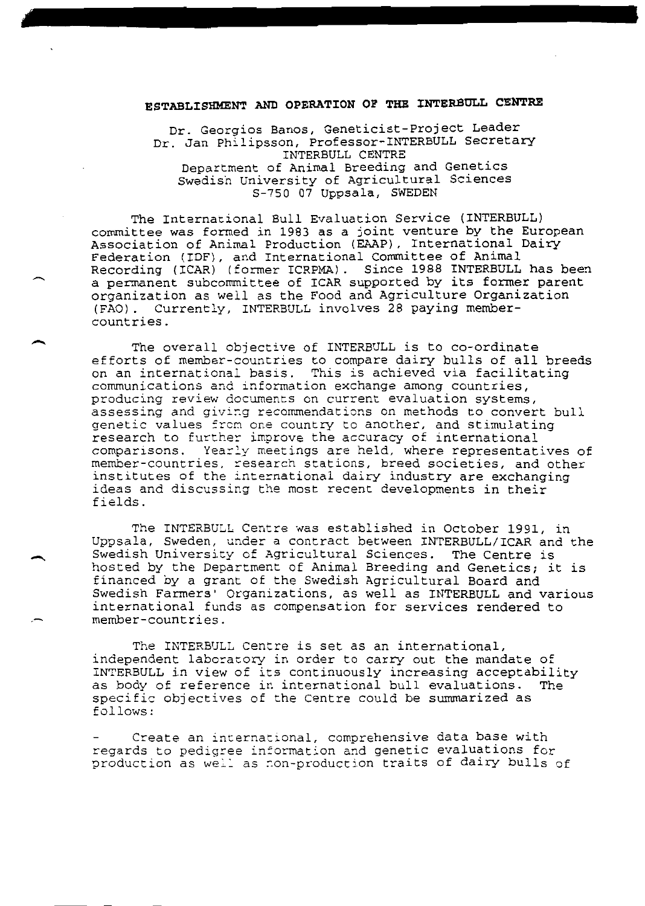## ESTABLISHMENT AND OPERATION OF THE INTERBULL CENTRE

Dr. Georgios Banos, Geneticist-Project Leader Dr. Jan Philipsson, Professor-INTERBULL Secretary INTERBULL CENTRE Department of Animal Breeding and Genetics Swedish University of Agricultural Sciences<br>S-750 07 Uppsala, SWEDEN

The International Bull Evaluation Service (INTERBULL) committee was formed in 1983 as a joint venture by the European Association of Animal Production (EAAP), International Dairy Federation (IDF), and International Committee of Animal Recording (ICAR) (former ICRPMA). Since 1988 INTERBULL has been a permanent subcommittee of ICAR supported by its former parent organization as well as the Food and Agriculture Organization (FAO). Currently, INTERBULL involves 28 paying membercountries.

The overall objective of INTERBULL is to co-ordinate efforts of member-countries to compare dairy bulls of all breeds on an international basis. This is achieved via facilitating communications and information exchange among countries, producing review documents on current evaluation systems, assessing and giving recommendations on methods to convert bull genetic values from one country to another, and stimulating research to further improve the accuracy of international comparisons. Yearly meetings are held, where representatives of member-countries, research stations, breed societies, and other institutes of the international dairy industry are exchanging ideas and discussing the most recent developments in their fields.

The INTERBULL Centre was established in October 1991, in Uppsala, Sweden, under a contract between INTERBULL/ICAR and the Swedish University of Agricultural Sciences. The Centre is hosted by the Department of Animal Breeding and Genetics; it is financed by a grant of the Swedish Agricultural Board and Swedish Farmers' Organizations, as well as INTERBULL and various international funds as compensation for services rendered to member-countries.

The INTERBULL Centre is set as an international, independent laboratory in order to carry out the mandate of INTERBULL in view of its continuously increasing acceptability<br>as body of reference in international bull evaluations. The specific objectives of the Centre could be summarized as follows:

Create an international, comprehensive data base with regards to pedigree information and genetic evaluations for production as well as non-production traits of dairy bulls of